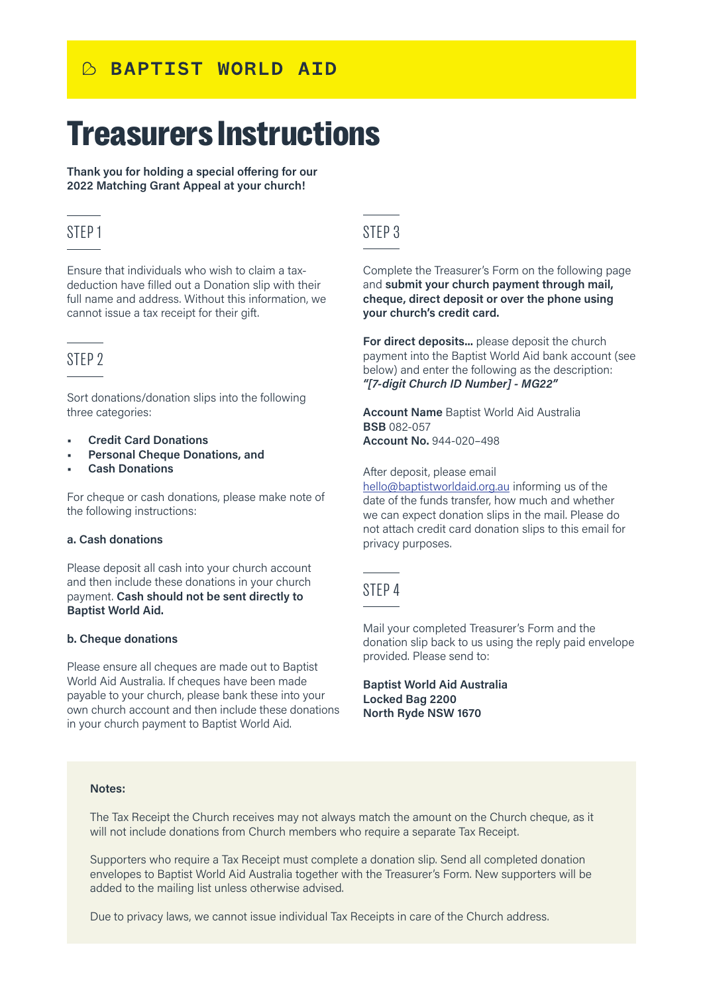# **BAPTIST WORLD AID**

# Treasurers Instructions

**Thank you for holding a special offering for our 2022 Matching Grant Appeal at your church!**

# STEP 1 STEP 3

Ensure that individuals who wish to claim a taxdeduction have filled out a Donation slip with their full name and address. Without this information, we cannot issue a tax receipt for their gift.

# STEP 2

Sort donations/donation slips into the following three categories:

- **• Credit Card Donations**
- **• Personal Cheque Donations, and**
- **• Cash Donations**

For cheque or cash donations, please make note of the following instructions:

#### **a. Cash donations**

Please deposit all cash into your church account and then include these donations in your church payment. **Cash should not be sent directly to Baptist World Aid.**

#### **b. Cheque donations**

Please ensure all cheques are made out to Baptist World Aid Australia. If cheques have been made payable to your church, please bank these into your own church account and then include these donations in your church payment to Baptist World Aid.

Complete the Treasurer's Form on the following page and **submit your church payment through mail, cheque, direct deposit or over the phone using your church's credit card.**

**For direct deposits...** please deposit the church payment into the Baptist World Aid bank account (see below) and enter the following as the description: *"[7-digit Church ID Number] - MG22"*

**Account Name** Baptist World Aid Australia **BSB** 082-057 **Account No.** 944-020–498

After deposit, please email

[hello@baptistworldaid.org.au](mailto:hello%40baptistworldaid.org.au?subject=) informing us of the date of the funds transfer, how much and whether we can expect donation slips in the mail. Please do not attach credit card donation slips to this email for privacy purposes.

## STEP 4

Mail your completed Treasurer's Form and the donation slip back to us using the reply paid envelope provided. Please send to:

**Baptist World Aid Australia Locked Bag 2200 North Ryde NSW 1670**

#### **Notes:**

The Tax Receipt the Church receives may not always match the amount on the Church cheque, as it will not include donations from Church members who require a separate Tax Receipt.

Supporters who require a Tax Receipt must complete a donation slip. Send all completed donation envelopes to Baptist World Aid Australia together with the Treasurer's Form. New supporters will be added to the mailing list unless otherwise advised.

Due to privacy laws, we cannot issue individual Tax Receipts in care of the Church address.